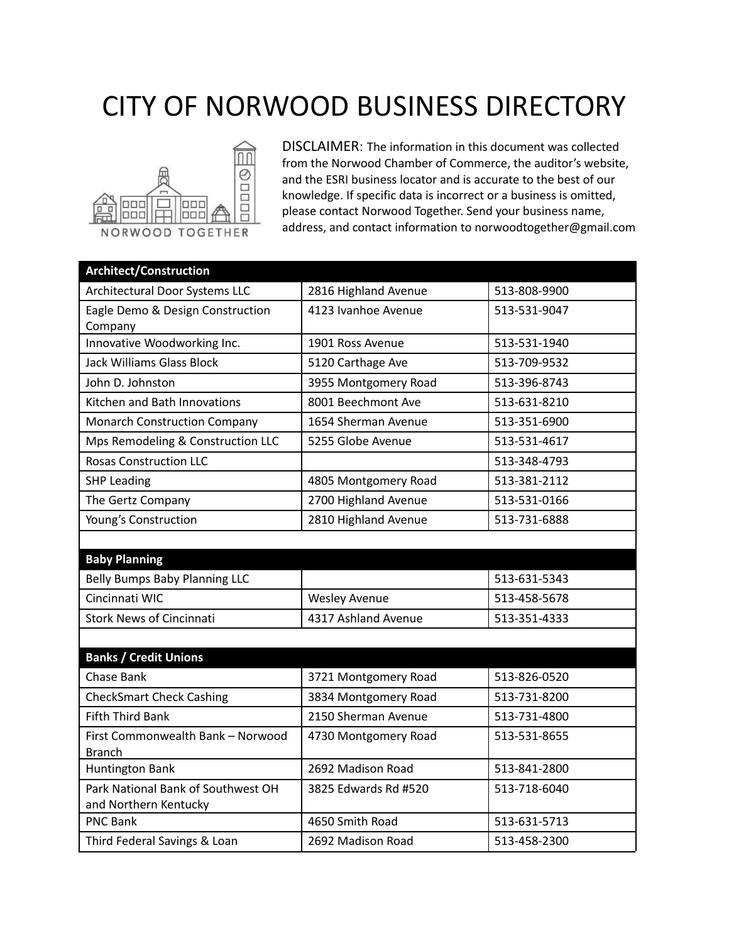## CITY OF NORWOOD BUSINESS DIRECTORY



DISCLAIMER: The information in this document was collected from the Norwood Chamber of Commerce, the auditor's website, and the ESRI business locator and is accurate to the best of our knowledge. If specific data is incorrect or a business is omitted, please contact Norwood Together. Send your business name, address, and contact information to norwoodtogether@gmail.com

| <b>Architect/Construction</b>                               |                      |              |
|-------------------------------------------------------------|----------------------|--------------|
| Architectural Door Systems LLC                              | 2816 Highland Avenue | 513-808-9900 |
| Eagle Demo & Design Construction<br>Company                 | 4123 Ivanhoe Avenue  | 513-531-9047 |
| Innovative Woodworking Inc.                                 | 1901 Ross Avenue     | 513-531-1940 |
| <b>Jack Williams Glass Block</b>                            | 5120 Carthage Ave    | 513-709-9532 |
| John D. Johnston                                            | 3955 Montgomery Road | 513-396-8743 |
| Kitchen and Bath Innovations                                | 8001 Beechmont Ave   | 513-631-8210 |
| <b>Monarch Construction Company</b>                         | 1654 Sherman Avenue  | 513-351-6900 |
| Mps Remodeling & Construction LLC                           | 5255 Globe Avenue    | 513-531-4617 |
| <b>Rosas Construction LLC</b>                               |                      | 513-348-4793 |
| <b>SHP Leading</b>                                          | 4805 Montgomery Road | 513-381-2112 |
| The Gertz Company                                           | 2700 Highland Avenue | 513-531-0166 |
| Young's Construction                                        | 2810 Highland Avenue | 513-731-6888 |
|                                                             |                      |              |
| <b>Baby Planning</b>                                        |                      |              |
| Belly Bumps Baby Planning LLC                               |                      | 513-631-5343 |
| Cincinnati WIC                                              | <b>Wesley Avenue</b> | 513-458-5678 |
| <b>Stork News of Cincinnati</b>                             | 4317 Ashland Avenue  | 513-351-4333 |
|                                                             |                      |              |
| <b>Banks / Credit Unions</b>                                |                      |              |
| Chase Bank                                                  | 3721 Montgomery Road | 513-826-0520 |
| <b>CheckSmart Check Cashing</b>                             | 3834 Montgomery Road | 513-731-8200 |
| <b>Fifth Third Bank</b>                                     | 2150 Sherman Avenue  | 513-731-4800 |
| First Commonwealth Bank - Norwood<br><b>Branch</b>          | 4730 Montgomery Road | 513-531-8655 |
| <b>Huntington Bank</b>                                      | 2692 Madison Road    | 513-841-2800 |
| Park National Bank of Southwest OH<br>and Northern Kentucky | 3825 Edwards Rd #520 | 513-718-6040 |
| <b>PNC Bank</b>                                             | 4650 Smith Road      | 513-631-5713 |
| Third Federal Savings & Loan                                | 2692 Madison Road    | 513-458-2300 |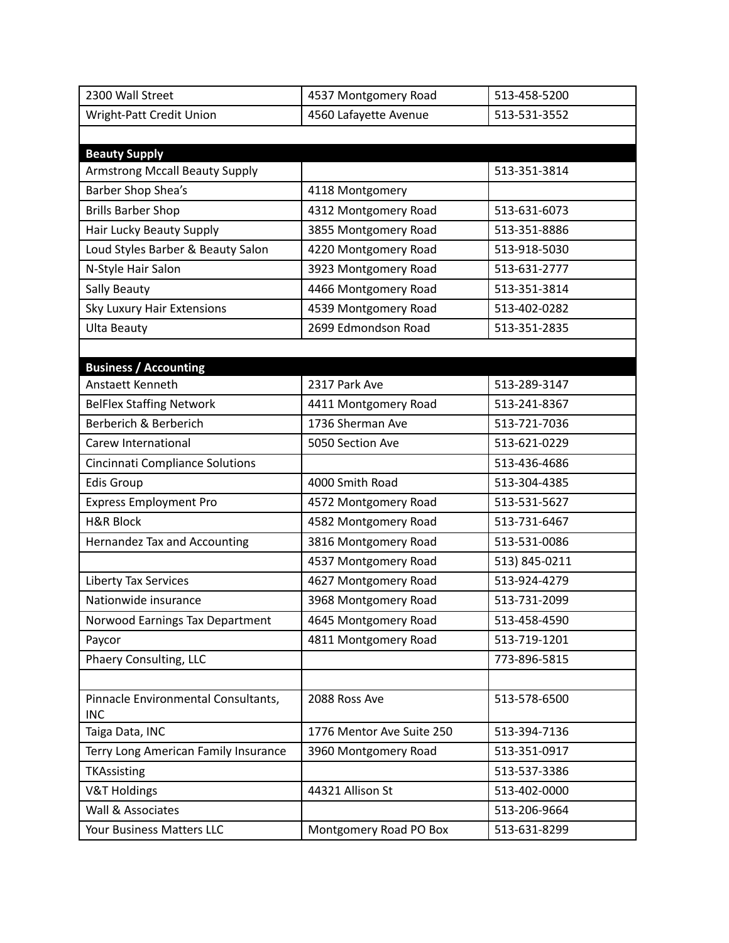| 2300 Wall Street                       | 4537 Montgomery Road      | 513-458-5200  |
|----------------------------------------|---------------------------|---------------|
| Wright-Patt Credit Union               | 4560 Lafayette Avenue     | 513-531-3552  |
|                                        |                           |               |
| <b>Beauty Supply</b>                   |                           |               |
| <b>Armstrong Mccall Beauty Supply</b>  |                           | 513-351-3814  |
| Barber Shop Shea's                     | 4118 Montgomery           |               |
| <b>Brills Barber Shop</b>              | 4312 Montgomery Road      | 513-631-6073  |
| Hair Lucky Beauty Supply               | 3855 Montgomery Road      | 513-351-8886  |
| Loud Styles Barber & Beauty Salon      | 4220 Montgomery Road      | 513-918-5030  |
| N-Style Hair Salon                     | 3923 Montgomery Road      | 513-631-2777  |
| Sally Beauty                           | 4466 Montgomery Road      | 513-351-3814  |
| Sky Luxury Hair Extensions             | 4539 Montgomery Road      | 513-402-0282  |
| <b>Ulta Beauty</b>                     | 2699 Edmondson Road       | 513-351-2835  |
|                                        |                           |               |
| <b>Business / Accounting</b>           |                           |               |
| Anstaett Kenneth                       | 2317 Park Ave             | 513-289-3147  |
| <b>BelFlex Staffing Network</b>        | 4411 Montgomery Road      | 513-241-8367  |
| Berberich & Berberich                  | 1736 Sherman Ave          | 513-721-7036  |
| Carew International                    | 5050 Section Ave          | 513-621-0229  |
| <b>Cincinnati Compliance Solutions</b> |                           | 513-436-4686  |
| <b>Edis Group</b>                      | 4000 Smith Road           | 513-304-4385  |
| <b>Express Employment Pro</b>          | 4572 Montgomery Road      | 513-531-5627  |
| <b>H&amp;R Block</b>                   | 4582 Montgomery Road      | 513-731-6467  |
| Hernandez Tax and Accounting           | 3816 Montgomery Road      | 513-531-0086  |
|                                        | 4537 Montgomery Road      | 513) 845-0211 |
| Liberty Tax Services                   | 4627 Montgomery Road      | 513-924-4279  |
| Nationwide insurance                   | 3968 Montgomery Road      | 513-731-2099  |
| Norwood Earnings Tax Department        | 4645 Montgomery Road      | 513-458-4590  |
| Paycor                                 | 4811 Montgomery Road      | 513-719-1201  |
| Phaery Consulting, LLC                 |                           | 773-896-5815  |
|                                        |                           |               |
| Pinnacle Environmental Consultants,    | 2088 Ross Ave             | 513-578-6500  |
| <b>INC</b>                             |                           |               |
| Taiga Data, INC                        | 1776 Mentor Ave Suite 250 | 513-394-7136  |
| Terry Long American Family Insurance   | 3960 Montgomery Road      | 513-351-0917  |
| TKAssisting                            |                           | 513-537-3386  |
| <b>V&amp;T Holdings</b>                | 44321 Allison St          | 513-402-0000  |
| Wall & Associates                      |                           | 513-206-9664  |
| Your Business Matters LLC              | Montgomery Road PO Box    | 513-631-8299  |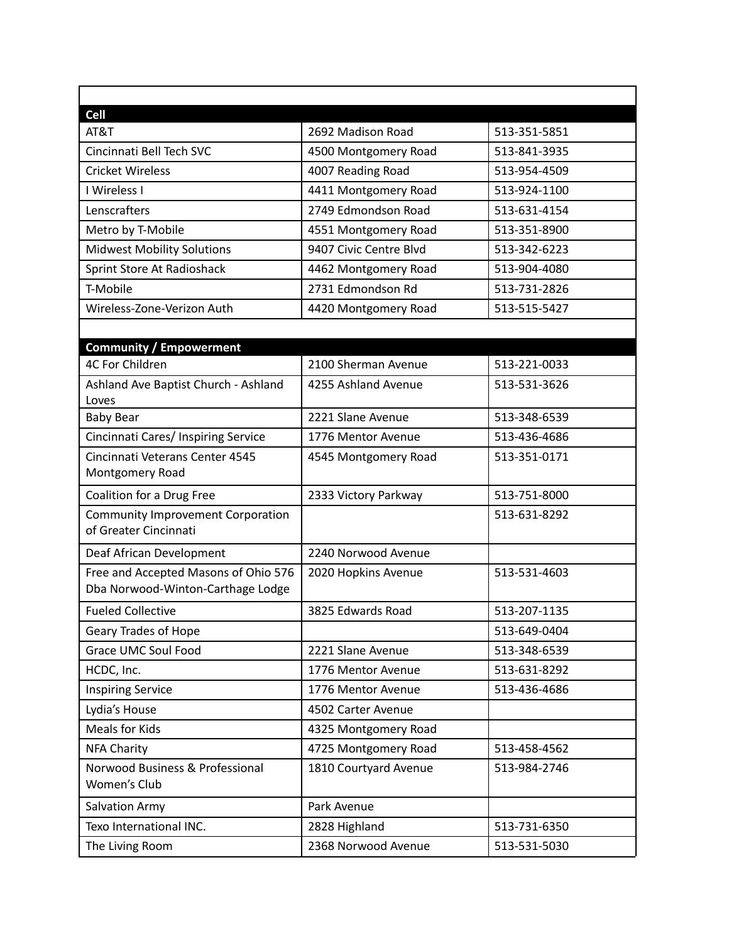| <b>Cell</b>                                                               |                        |              |
|---------------------------------------------------------------------------|------------------------|--------------|
| AT&T                                                                      | 2692 Madison Road      | 513-351-5851 |
| Cincinnati Bell Tech SVC                                                  | 4500 Montgomery Road   | 513-841-3935 |
| <b>Cricket Wireless</b>                                                   | 4007 Reading Road      | 513-954-4509 |
| I Wireless I                                                              | 4411 Montgomery Road   | 513-924-1100 |
| Lenscrafters                                                              | 2749 Edmondson Road    | 513-631-4154 |
| Metro by T-Mobile                                                         | 4551 Montgomery Road   | 513-351-8900 |
| <b>Midwest Mobility Solutions</b>                                         | 9407 Civic Centre Blvd | 513-342-6223 |
| Sprint Store At Radioshack                                                | 4462 Montgomery Road   | 513-904-4080 |
| T-Mobile                                                                  | 2731 Edmondson Rd      | 513-731-2826 |
| Wireless-Zone-Verizon Auth                                                | 4420 Montgomery Road   | 513-515-5427 |
|                                                                           |                        |              |
| <b>Community / Empowerment</b>                                            |                        |              |
| 4C For Children                                                           | 2100 Sherman Avenue    | 513-221-0033 |
| Ashland Ave Baptist Church - Ashland<br>Loves                             | 4255 Ashland Avenue    | 513-531-3626 |
| <b>Baby Bear</b>                                                          | 2221 Slane Avenue      | 513-348-6539 |
| Cincinnati Cares/ Inspiring Service                                       | 1776 Mentor Avenue     | 513-436-4686 |
| Cincinnati Veterans Center 4545<br>Montgomery Road                        | 4545 Montgomery Road   | 513-351-0171 |
| Coalition for a Drug Free                                                 | 2333 Victory Parkway   | 513-751-8000 |
| <b>Community Improvement Corporation</b><br>of Greater Cincinnati         |                        | 513-631-8292 |
| Deaf African Development                                                  | 2240 Norwood Avenue    |              |
| Free and Accepted Masons of Ohio 576<br>Dba Norwood-Winton-Carthage Lodge | 2020 Hopkins Avenue    | 513-531-4603 |
| <b>Fueled Collective</b>                                                  | 3825 Edwards Road      | 513-207-1135 |
| Geary Trades of Hope                                                      |                        | 513-649-0404 |
| <b>Grace UMC Soul Food</b>                                                | 2221 Slane Avenue      | 513-348-6539 |
| HCDC, Inc.                                                                | 1776 Mentor Avenue     | 513-631-8292 |
| <b>Inspiring Service</b>                                                  | 1776 Mentor Avenue     | 513-436-4686 |
| Lydia's House                                                             | 4502 Carter Avenue     |              |
| Meals for Kids                                                            | 4325 Montgomery Road   |              |
| <b>NFA Charity</b>                                                        | 4725 Montgomery Road   | 513-458-4562 |
| Norwood Business & Professional<br>Women's Club                           | 1810 Courtyard Avenue  | 513-984-2746 |
| <b>Salvation Army</b>                                                     | Park Avenue            |              |
| Texo International INC.                                                   | 2828 Highland          | 513-731-6350 |
| The Living Room                                                           | 2368 Norwood Avenue    | 513-531-5030 |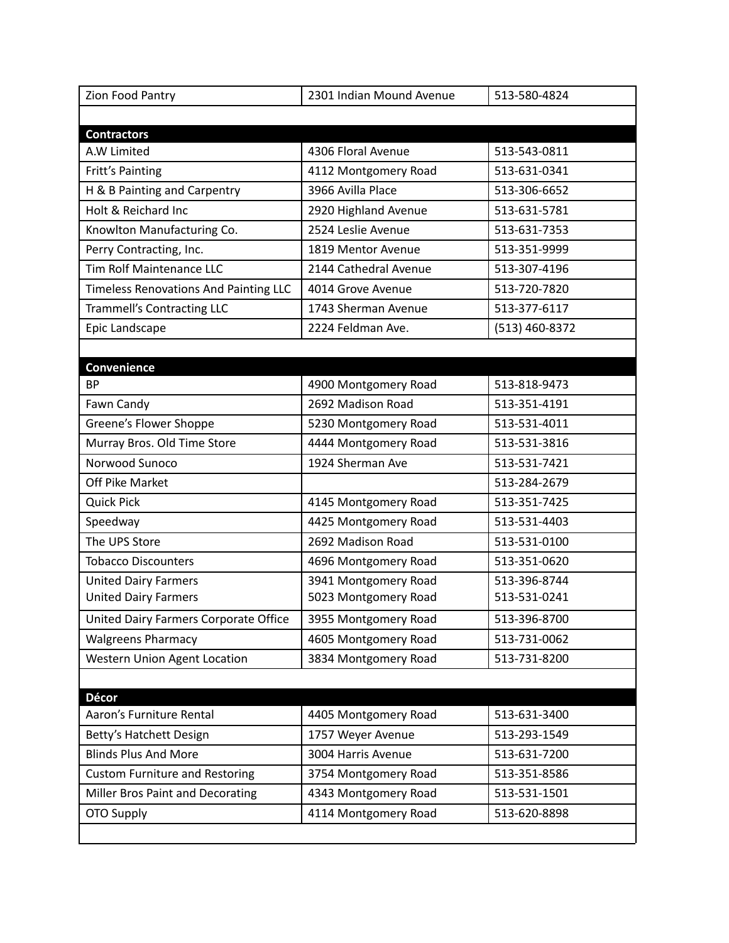| Zion Food Pantry                             | 2301 Indian Mound Avenue | 513-580-4824   |
|----------------------------------------------|--------------------------|----------------|
|                                              |                          |                |
| <b>Contractors</b>                           |                          |                |
| A.W Limited                                  | 4306 Floral Avenue       | 513-543-0811   |
| Fritt's Painting                             | 4112 Montgomery Road     | 513-631-0341   |
| H & B Painting and Carpentry                 | 3966 Avilla Place        | 513-306-6652   |
| Holt & Reichard Inc                          | 2920 Highland Avenue     | 513-631-5781   |
| Knowlton Manufacturing Co.                   | 2524 Leslie Avenue       | 513-631-7353   |
| Perry Contracting, Inc.                      | 1819 Mentor Avenue       | 513-351-9999   |
| <b>Tim Rolf Maintenance LLC</b>              | 2144 Cathedral Avenue    | 513-307-4196   |
| <b>Timeless Renovations And Painting LLC</b> | 4014 Grove Avenue        | 513-720-7820   |
| <b>Trammell's Contracting LLC</b>            | 1743 Sherman Avenue      | 513-377-6117   |
| Epic Landscape                               | 2224 Feldman Ave.        | (513) 460-8372 |
|                                              |                          |                |
| <b>Convenience</b>                           |                          |                |
| <b>BP</b>                                    | 4900 Montgomery Road     | 513-818-9473   |
| Fawn Candy                                   | 2692 Madison Road        | 513-351-4191   |
| Greene's Flower Shoppe                       | 5230 Montgomery Road     | 513-531-4011   |
| Murray Bros. Old Time Store                  | 4444 Montgomery Road     | 513-531-3816   |
| Norwood Sunoco                               | 1924 Sherman Ave         | 513-531-7421   |
| Off Pike Market                              |                          | 513-284-2679   |
| <b>Quick Pick</b>                            | 4145 Montgomery Road     | 513-351-7425   |
| Speedway                                     | 4425 Montgomery Road     | 513-531-4403   |
| The UPS Store                                | 2692 Madison Road        | 513-531-0100   |
| <b>Tobacco Discounters</b>                   | 4696 Montgomery Road     | 513-351-0620   |
| <b>United Dairy Farmers</b>                  | 3941 Montgomery Road     | 513-396-8744   |
| <b>United Dairy Farmers</b>                  | 5023 Montgomery Road     | 513-531-0241   |
| United Dairy Farmers Corporate Office        | 3955 Montgomery Road     | 513-396-8700   |
| <b>Walgreens Pharmacy</b>                    | 4605 Montgomery Road     | 513-731-0062   |
| <b>Western Union Agent Location</b>          | 3834 Montgomery Road     | 513-731-8200   |
|                                              |                          |                |
| <b>Décor</b>                                 |                          |                |
| Aaron's Furniture Rental                     | 4405 Montgomery Road     | 513-631-3400   |
| Betty's Hatchett Design                      | 1757 Weyer Avenue        | 513-293-1549   |
| <b>Blinds Plus And More</b>                  | 3004 Harris Avenue       | 513-631-7200   |
| <b>Custom Furniture and Restoring</b>        | 3754 Montgomery Road     | 513-351-8586   |
| Miller Bros Paint and Decorating             | 4343 Montgomery Road     | 513-531-1501   |
| OTO Supply                                   | 4114 Montgomery Road     | 513-620-8898   |
|                                              |                          |                |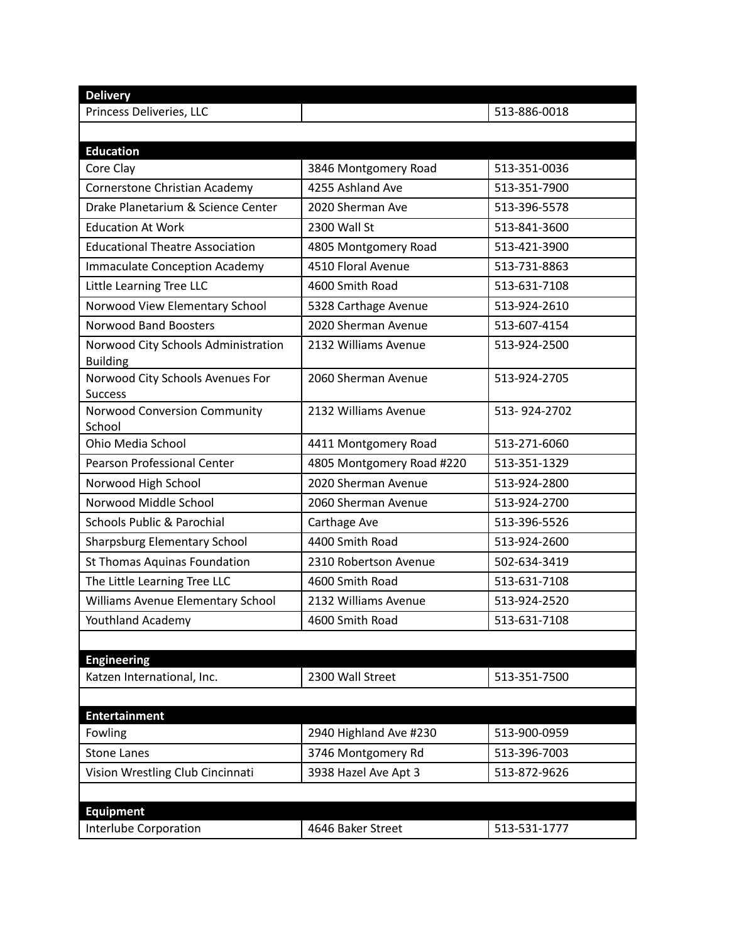| <b>Delivery</b>                                        |                           |              |
|--------------------------------------------------------|---------------------------|--------------|
| Princess Deliveries, LLC                               |                           | 513-886-0018 |
|                                                        |                           |              |
| <b>Education</b>                                       |                           |              |
| Core Clay                                              | 3846 Montgomery Road      | 513-351-0036 |
| Cornerstone Christian Academy                          | 4255 Ashland Ave          | 513-351-7900 |
| Drake Planetarium & Science Center                     | 2020 Sherman Ave          | 513-396-5578 |
| <b>Education At Work</b>                               | 2300 Wall St              | 513-841-3600 |
| <b>Educational Theatre Association</b>                 | 4805 Montgomery Road      | 513-421-3900 |
| <b>Immaculate Conception Academy</b>                   | 4510 Floral Avenue        | 513-731-8863 |
| Little Learning Tree LLC                               | 4600 Smith Road           | 513-631-7108 |
| Norwood View Elementary School                         | 5328 Carthage Avenue      | 513-924-2610 |
| <b>Norwood Band Boosters</b>                           | 2020 Sherman Avenue       | 513-607-4154 |
| Norwood City Schools Administration<br><b>Building</b> | 2132 Williams Avenue      | 513-924-2500 |
| Norwood City Schools Avenues For<br><b>Success</b>     | 2060 Sherman Avenue       | 513-924-2705 |
| Norwood Conversion Community<br>School                 | 2132 Williams Avenue      | 513-924-2702 |
| Ohio Media School                                      | 4411 Montgomery Road      | 513-271-6060 |
| Pearson Professional Center                            | 4805 Montgomery Road #220 | 513-351-1329 |
| Norwood High School                                    | 2020 Sherman Avenue       | 513-924-2800 |
| Norwood Middle School                                  | 2060 Sherman Avenue       | 513-924-2700 |
| <b>Schools Public &amp; Parochial</b>                  | Carthage Ave              | 513-396-5526 |
| <b>Sharpsburg Elementary School</b>                    | 4400 Smith Road           | 513-924-2600 |
| St Thomas Aquinas Foundation                           | 2310 Robertson Avenue     | 502-634-3419 |
| The Little Learning Tree LLC                           | 4600 Smith Road           | 513-631-7108 |
| Williams Avenue Elementary School                      | 2132 Williams Avenue      | 513-924-2520 |
| Youthland Academy                                      | 4600 Smith Road           | 513-631-7108 |
| <b>Engineering</b>                                     |                           |              |
| Katzen International, Inc.                             | 2300 Wall Street          | 513-351-7500 |
|                                                        |                           |              |
| <b>Entertainment</b>                                   |                           |              |
| Fowling                                                | 2940 Highland Ave #230    | 513-900-0959 |
| <b>Stone Lanes</b>                                     | 3746 Montgomery Rd        | 513-396-7003 |
| Vision Wrestling Club Cincinnati                       | 3938 Hazel Ave Apt 3      | 513-872-9626 |
|                                                        |                           |              |
| <b>Equipment</b>                                       |                           |              |
| Interlube Corporation                                  | 4646 Baker Street         | 513-531-1777 |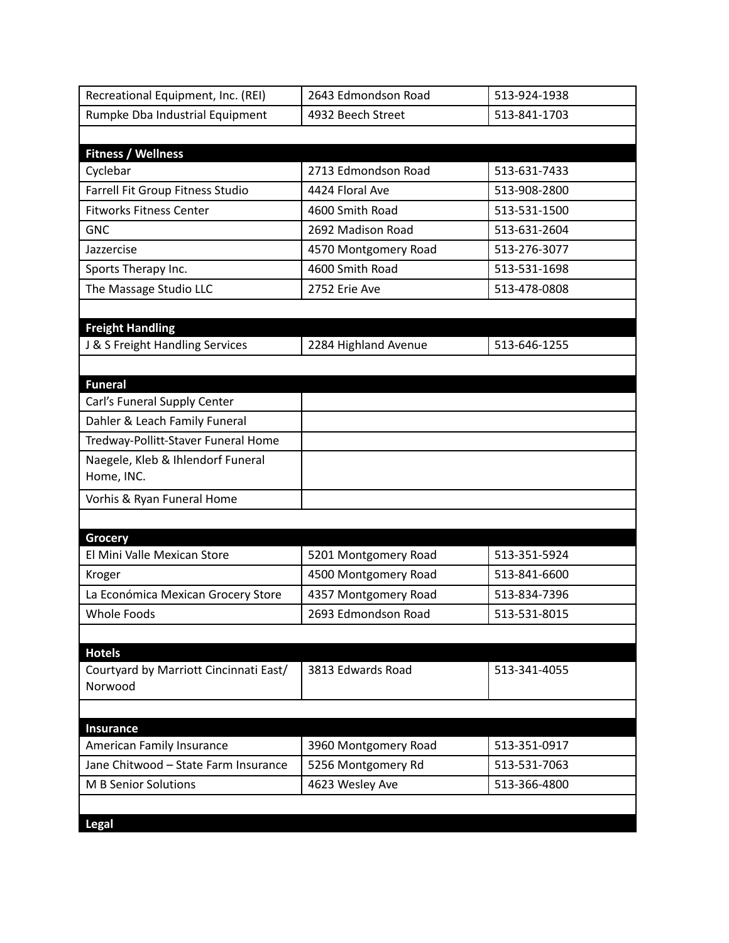| Recreational Equipment, Inc. (REI)                | 2643 Edmondson Road  | 513-924-1938 |
|---------------------------------------------------|----------------------|--------------|
| Rumpke Dba Industrial Equipment                   | 4932 Beech Street    | 513-841-1703 |
|                                                   |                      |              |
| <b>Fitness / Wellness</b>                         |                      |              |
| Cyclebar                                          | 2713 Edmondson Road  | 513-631-7433 |
| Farrell Fit Group Fitness Studio                  | 4424 Floral Ave      | 513-908-2800 |
| <b>Fitworks Fitness Center</b>                    | 4600 Smith Road      | 513-531-1500 |
| <b>GNC</b>                                        | 2692 Madison Road    | 513-631-2604 |
| Jazzercise                                        | 4570 Montgomery Road | 513-276-3077 |
| Sports Therapy Inc.                               | 4600 Smith Road      | 513-531-1698 |
| The Massage Studio LLC                            | 2752 Erie Ave        | 513-478-0808 |
|                                                   |                      |              |
| <b>Freight Handling</b>                           |                      |              |
| J & S Freight Handling Services                   | 2284 Highland Avenue | 513-646-1255 |
|                                                   |                      |              |
| <b>Funeral</b>                                    |                      |              |
| Carl's Funeral Supply Center                      |                      |              |
| Dahler & Leach Family Funeral                     |                      |              |
| Tredway-Pollitt-Staver Funeral Home               |                      |              |
| Naegele, Kleb & Ihlendorf Funeral                 |                      |              |
| Home, INC.                                        |                      |              |
| Vorhis & Ryan Funeral Home                        |                      |              |
|                                                   |                      |              |
| <b>Grocery</b>                                    |                      |              |
| El Mini Valle Mexican Store                       | 5201 Montgomery Road | 513-351-5924 |
| Kroger                                            | 4500 Montgomery Road | 513-841-6600 |
| La Económica Mexican Grocery Store                | 4357 Montgomery Road | 513-834-7396 |
| Whole Foods                                       | 2693 Edmondson Road  | 513-531-8015 |
|                                                   |                      |              |
| <b>Hotels</b>                                     |                      |              |
| Courtyard by Marriott Cincinnati East/<br>Norwood | 3813 Edwards Road    | 513-341-4055 |
|                                                   |                      |              |
|                                                   |                      |              |
| Insurance<br>American Family Insurance            | 3960 Montgomery Road | 513-351-0917 |
| Jane Chitwood - State Farm Insurance              | 5256 Montgomery Rd   | 513-531-7063 |
| M B Senior Solutions                              | 4623 Wesley Ave      | 513-366-4800 |
|                                                   |                      |              |
|                                                   |                      |              |
| <b>Legal</b>                                      |                      |              |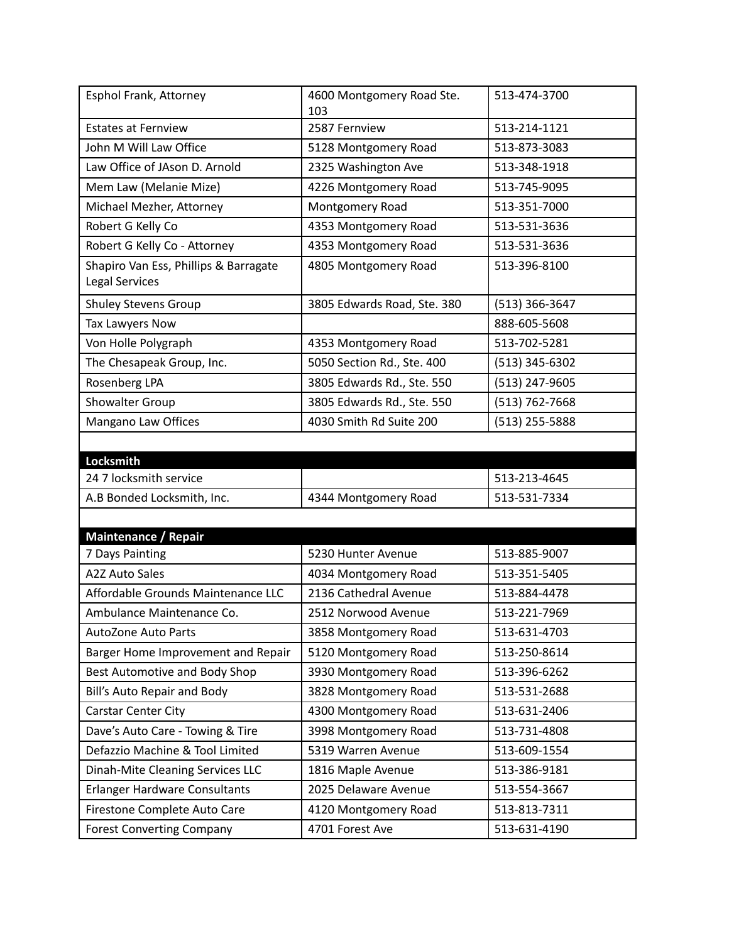| Esphol Frank, Attorney                                           | 4600 Montgomery Road Ste.<br>103        | 513-474-3700                 |
|------------------------------------------------------------------|-----------------------------------------|------------------------------|
| <b>Estates at Fernview</b>                                       | 2587 Fernview                           | 513-214-1121                 |
| John M Will Law Office                                           | 5128 Montgomery Road                    | 513-873-3083                 |
| Law Office of JAson D. Arnold                                    | 2325 Washington Ave                     | 513-348-1918                 |
| Mem Law (Melanie Mize)                                           | 4226 Montgomery Road                    | 513-745-9095                 |
| Michael Mezher, Attorney                                         | Montgomery Road                         | 513-351-7000                 |
| Robert G Kelly Co                                                | 4353 Montgomery Road                    | 513-531-3636                 |
| Robert G Kelly Co - Attorney                                     | 4353 Montgomery Road                    | 513-531-3636                 |
| Shapiro Van Ess, Phillips & Barragate<br><b>Legal Services</b>   | 4805 Montgomery Road                    | 513-396-8100                 |
| <b>Shuley Stevens Group</b>                                      | 3805 Edwards Road, Ste. 380             | (513) 366-3647               |
| Tax Lawyers Now                                                  |                                         | 888-605-5608                 |
| Von Holle Polygraph                                              | 4353 Montgomery Road                    | 513-702-5281                 |
| The Chesapeak Group, Inc.                                        | 5050 Section Rd., Ste. 400              | (513) 345-6302               |
| Rosenberg LPA                                                    | 3805 Edwards Rd., Ste. 550              | (513) 247-9605               |
| Showalter Group                                                  | 3805 Edwards Rd., Ste. 550              | (513) 762-7668               |
| Mangano Law Offices                                              | 4030 Smith Rd Suite 200                 | (513) 255-5888               |
|                                                                  |                                         |                              |
| Locksmith                                                        |                                         |                              |
| 24 7 locksmith service                                           |                                         | 513-213-4645                 |
| A.B Bonded Locksmith, Inc.                                       | 4344 Montgomery Road                    | 513-531-7334                 |
|                                                                  |                                         |                              |
| <b>Maintenance / Repair</b>                                      |                                         |                              |
| 7 Days Painting                                                  | 5230 Hunter Avenue                      | 513-885-9007                 |
| <b>A2Z Auto Sales</b>                                            | 4034 Montgomery Road                    | 513-351-5405                 |
| Affordable Grounds Maintenance LLC                               | 2136 Cathedral Avenue                   | 513-884-4478                 |
| Ambulance Maintenance Co.                                        | 2512 Norwood Avenue                     | 513-221-7969                 |
| <b>AutoZone Auto Parts</b>                                       | 3858 Montgomery Road                    | 513-631-4703                 |
| Barger Home Improvement and Repair                               | 5120 Montgomery Road                    | 513-250-8614                 |
| Best Automotive and Body Shop                                    | 3930 Montgomery Road                    | 513-396-6262                 |
| Bill's Auto Repair and Body                                      | 3828 Montgomery Road                    | 513-531-2688                 |
| Carstar Center City                                              | 4300 Montgomery Road                    | 513-631-2406                 |
| Dave's Auto Care - Towing & Tire                                 |                                         | 513-731-4808                 |
|                                                                  | 3998 Montgomery Road                    |                              |
| Defazzio Machine & Tool Limited                                  | 5319 Warren Avenue                      | 513-609-1554                 |
| Dinah-Mite Cleaning Services LLC                                 | 1816 Maple Avenue                       | 513-386-9181                 |
| <b>Erlanger Hardware Consultants</b>                             | 2025 Delaware Avenue                    | 513-554-3667                 |
| Firestone Complete Auto Care<br><b>Forest Converting Company</b> | 4120 Montgomery Road<br>4701 Forest Ave | 513-813-7311<br>513-631-4190 |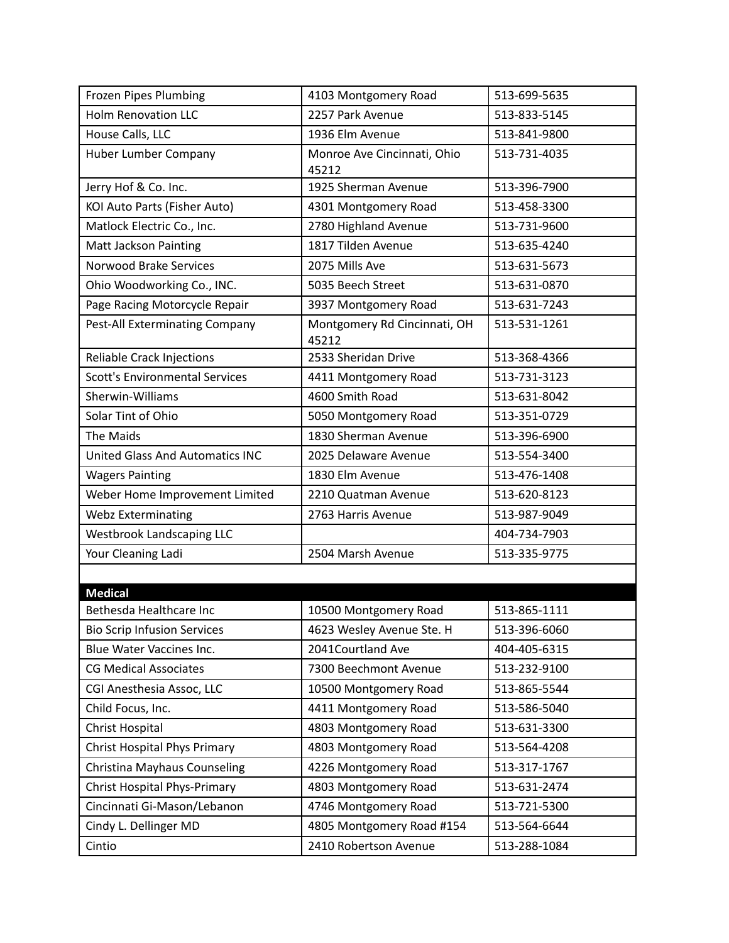| <b>Frozen Pipes Plumbing</b>           | 4103 Montgomery Road                  | 513-699-5635 |
|----------------------------------------|---------------------------------------|--------------|
| <b>Holm Renovation LLC</b>             | 2257 Park Avenue                      | 513-833-5145 |
| House Calls, LLC                       | 1936 Elm Avenue                       | 513-841-9800 |
| <b>Huber Lumber Company</b>            | Monroe Ave Cincinnati, Ohio<br>45212  | 513-731-4035 |
| Jerry Hof & Co. Inc.                   | 1925 Sherman Avenue                   | 513-396-7900 |
| KOI Auto Parts (Fisher Auto)           | 4301 Montgomery Road                  | 513-458-3300 |
| Matlock Electric Co., Inc.             | 2780 Highland Avenue                  | 513-731-9600 |
| <b>Matt Jackson Painting</b>           | 1817 Tilden Avenue                    | 513-635-4240 |
| Norwood Brake Services                 | 2075 Mills Ave                        | 513-631-5673 |
| Ohio Woodworking Co., INC.             | 5035 Beech Street                     | 513-631-0870 |
| Page Racing Motorcycle Repair          | 3937 Montgomery Road                  | 513-631-7243 |
| Pest-All Exterminating Company         | Montgomery Rd Cincinnati, OH<br>45212 | 513-531-1261 |
| Reliable Crack Injections              | 2533 Sheridan Drive                   | 513-368-4366 |
| <b>Scott's Environmental Services</b>  | 4411 Montgomery Road                  | 513-731-3123 |
| Sherwin-Williams                       | 4600 Smith Road                       | 513-631-8042 |
| Solar Tint of Ohio                     | 5050 Montgomery Road                  | 513-351-0729 |
| The Maids                              | 1830 Sherman Avenue                   | 513-396-6900 |
| <b>United Glass And Automatics INC</b> | 2025 Delaware Avenue                  | 513-554-3400 |
| <b>Wagers Painting</b>                 | 1830 Elm Avenue                       | 513-476-1408 |
| Weber Home Improvement Limited         | 2210 Quatman Avenue                   | 513-620-8123 |
| <b>Webz Exterminating</b>              | 2763 Harris Avenue                    | 513-987-9049 |
| <b>Westbrook Landscaping LLC</b>       |                                       | 404-734-7903 |
| Your Cleaning Ladi                     | 2504 Marsh Avenue                     | 513-335-9775 |
|                                        |                                       |              |
| <b>Medical</b>                         |                                       |              |
| Bethesda Healthcare Inc                | 10500 Montgomery Road                 | 513-865-1111 |
| <b>Bio Scrip Infusion Services</b>     | 4623 Wesley Avenue Ste. H             | 513-396-6060 |
| Blue Water Vaccines Inc.               | 2041Courtland Ave                     | 404-405-6315 |
| <b>CG Medical Associates</b>           | 7300 Beechmont Avenue                 | 513-232-9100 |
| CGI Anesthesia Assoc, LLC              | 10500 Montgomery Road                 | 513-865-5544 |
| Child Focus, Inc.                      | 4411 Montgomery Road                  | 513-586-5040 |
| Christ Hospital                        | 4803 Montgomery Road                  | 513-631-3300 |
| <b>Christ Hospital Phys Primary</b>    | 4803 Montgomery Road                  | 513-564-4208 |
| Christina Mayhaus Counseling           | 4226 Montgomery Road                  | 513-317-1767 |
| <b>Christ Hospital Phys-Primary</b>    | 4803 Montgomery Road                  | 513-631-2474 |
| Cincinnati Gi-Mason/Lebanon            | 4746 Montgomery Road                  | 513-721-5300 |
| Cindy L. Dellinger MD                  | 4805 Montgomery Road #154             | 513-564-6644 |
| Cintio                                 | 2410 Robertson Avenue                 | 513-288-1084 |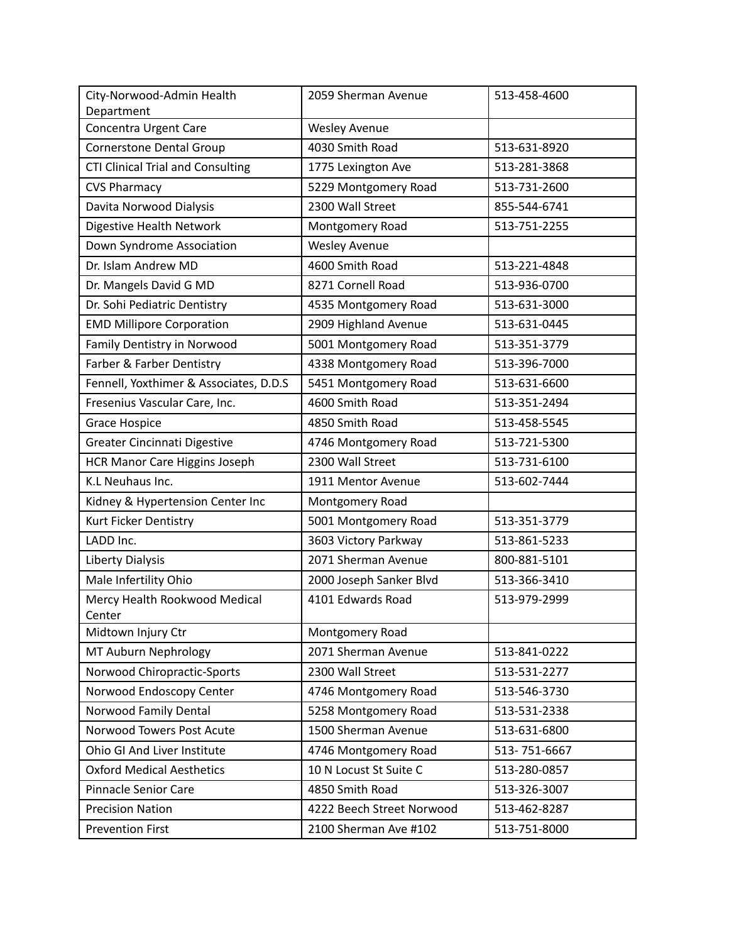| City-Norwood-Admin Health<br>Department  | 2059 Sherman Avenue       | 513-458-4600 |
|------------------------------------------|---------------------------|--------------|
| Concentra Urgent Care                    | <b>Wesley Avenue</b>      |              |
| <b>Cornerstone Dental Group</b>          | 4030 Smith Road           | 513-631-8920 |
| <b>CTI Clinical Trial and Consulting</b> | 1775 Lexington Ave        | 513-281-3868 |
| <b>CVS Pharmacy</b>                      | 5229 Montgomery Road      | 513-731-2600 |
| Davita Norwood Dialysis                  | 2300 Wall Street          | 855-544-6741 |
| Digestive Health Network                 | Montgomery Road           | 513-751-2255 |
| Down Syndrome Association                | <b>Wesley Avenue</b>      |              |
| Dr. Islam Andrew MD                      | 4600 Smith Road           | 513-221-4848 |
| Dr. Mangels David G MD                   | 8271 Cornell Road         | 513-936-0700 |
| Dr. Sohi Pediatric Dentistry             | 4535 Montgomery Road      | 513-631-3000 |
| <b>EMD Millipore Corporation</b>         | 2909 Highland Avenue      | 513-631-0445 |
| Family Dentistry in Norwood              | 5001 Montgomery Road      | 513-351-3779 |
| Farber & Farber Dentistry                | 4338 Montgomery Road      | 513-396-7000 |
| Fennell, Yoxthimer & Associates, D.D.S   | 5451 Montgomery Road      | 513-631-6600 |
| Fresenius Vascular Care, Inc.            | 4600 Smith Road           | 513-351-2494 |
| Grace Hospice                            | 4850 Smith Road           | 513-458-5545 |
| Greater Cincinnati Digestive             | 4746 Montgomery Road      | 513-721-5300 |
| <b>HCR Manor Care Higgins Joseph</b>     | 2300 Wall Street          | 513-731-6100 |
| K.L Neuhaus Inc.                         | 1911 Mentor Avenue        | 513-602-7444 |
| Kidney & Hypertension Center Inc         | Montgomery Road           |              |
| Kurt Ficker Dentistry                    | 5001 Montgomery Road      | 513-351-3779 |
| LADD Inc.                                | 3603 Victory Parkway      | 513-861-5233 |
| Liberty Dialysis                         | 2071 Sherman Avenue       | 800-881-5101 |
| Male Infertility Ohio                    | 2000 Joseph Sanker Blvd   | 513-366-3410 |
| Mercy Health Rookwood Medical<br>Center  | 4101 Edwards Road         | 513-979-2999 |
| Midtown Injury Ctr                       | Montgomery Road           |              |
| MT Auburn Nephrology                     | 2071 Sherman Avenue       | 513-841-0222 |
| Norwood Chiropractic-Sports              | 2300 Wall Street          | 513-531-2277 |
| Norwood Endoscopy Center                 | 4746 Montgomery Road      | 513-546-3730 |
| Norwood Family Dental                    | 5258 Montgomery Road      | 513-531-2338 |
| Norwood Towers Post Acute                | 1500 Sherman Avenue       | 513-631-6800 |
| Ohio GI And Liver Institute              | 4746 Montgomery Road      | 513-751-6667 |
| <b>Oxford Medical Aesthetics</b>         | 10 N Locust St Suite C    | 513-280-0857 |
| Pinnacle Senior Care                     | 4850 Smith Road           | 513-326-3007 |
| <b>Precision Nation</b>                  | 4222 Beech Street Norwood | 513-462-8287 |
| <b>Prevention First</b>                  | 2100 Sherman Ave #102     | 513-751-8000 |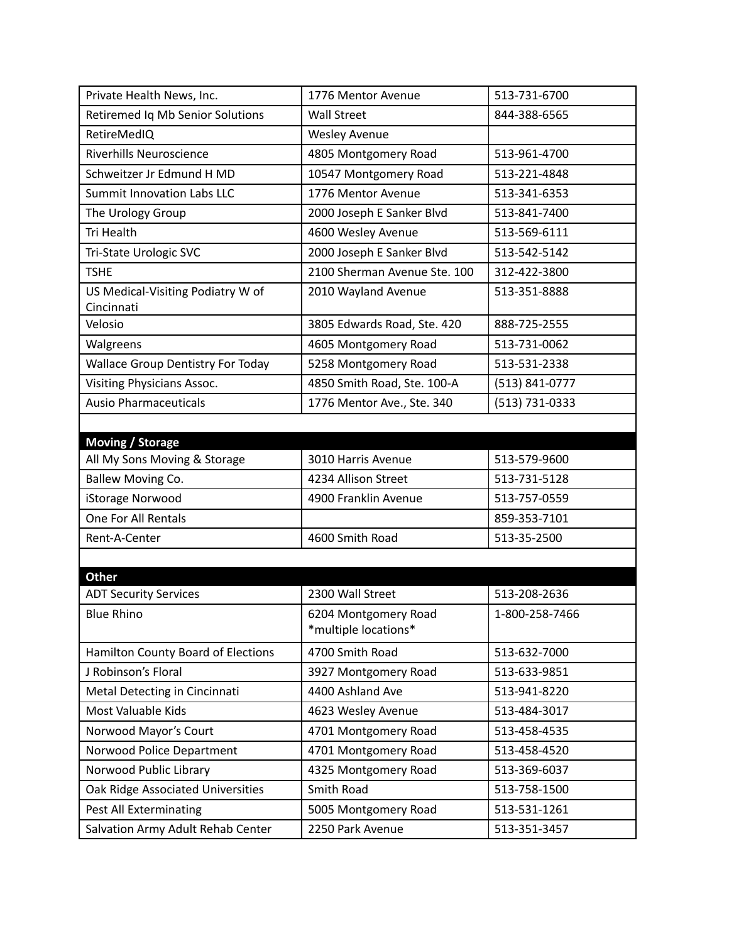| Private Health News, Inc.                       | 1776 Mentor Avenue                           | 513-731-6700   |
|-------------------------------------------------|----------------------------------------------|----------------|
| Retiremed Iq Mb Senior Solutions                | <b>Wall Street</b>                           | 844-388-6565   |
| RetireMedIQ                                     | <b>Wesley Avenue</b>                         |                |
| <b>Riverhills Neuroscience</b>                  | 4805 Montgomery Road                         | 513-961-4700   |
| Schweitzer Jr Edmund H MD                       | 10547 Montgomery Road                        | 513-221-4848   |
| <b>Summit Innovation Labs LLC</b>               | 1776 Mentor Avenue                           | 513-341-6353   |
| The Urology Group                               | 2000 Joseph E Sanker Blvd                    | 513-841-7400   |
| Tri Health                                      | 4600 Wesley Avenue                           | 513-569-6111   |
| Tri-State Urologic SVC                          | 2000 Joseph E Sanker Blvd                    | 513-542-5142   |
| <b>TSHE</b>                                     | 2100 Sherman Avenue Ste. 100                 | 312-422-3800   |
| US Medical-Visiting Podiatry W of<br>Cincinnati | 2010 Wayland Avenue                          | 513-351-8888   |
| Velosio                                         | 3805 Edwards Road, Ste. 420                  | 888-725-2555   |
| Walgreens                                       | 4605 Montgomery Road                         | 513-731-0062   |
| Wallace Group Dentistry For Today               | 5258 Montgomery Road                         | 513-531-2338   |
| Visiting Physicians Assoc.                      | 4850 Smith Road, Ste. 100-A                  | (513) 841-0777 |
| <b>Ausio Pharmaceuticals</b>                    | 1776 Mentor Ave., Ste. 340                   | (513) 731-0333 |
|                                                 |                                              |                |
| <b>Moving / Storage</b>                         |                                              |                |
| All My Sons Moving & Storage                    | 3010 Harris Avenue                           | 513-579-9600   |
| Ballew Moving Co.                               | 4234 Allison Street                          | 513-731-5128   |
| iStorage Norwood                                | 4900 Franklin Avenue                         | 513-757-0559   |
| One For All Rentals                             |                                              | 859-353-7101   |
| Rent-A-Center                                   | 4600 Smith Road                              | 513-35-2500    |
|                                                 |                                              |                |
| <b>Other</b>                                    |                                              |                |
| <b>ADT Security Services</b>                    | 2300 Wall Street                             | 513-208-2636   |
| <b>Blue Rhino</b>                               | 6204 Montgomery Road<br>*multiple locations* | 1-800-258-7466 |
| Hamilton County Board of Elections              | 4700 Smith Road                              | 513-632-7000   |
| J Robinson's Floral                             | 3927 Montgomery Road                         | 513-633-9851   |
| Metal Detecting in Cincinnati                   | 4400 Ashland Ave                             | 513-941-8220   |
| Most Valuable Kids                              | 4623 Wesley Avenue                           | 513-484-3017   |
| Norwood Mayor's Court                           | 4701 Montgomery Road                         | 513-458-4535   |
| Norwood Police Department                       | 4701 Montgomery Road                         | 513-458-4520   |
| Norwood Public Library                          | 4325 Montgomery Road                         | 513-369-6037   |
| Oak Ridge Associated Universities               | Smith Road                                   | 513-758-1500   |
| Pest All Exterminating                          | 5005 Montgomery Road                         | 513-531-1261   |
|                                                 |                                              |                |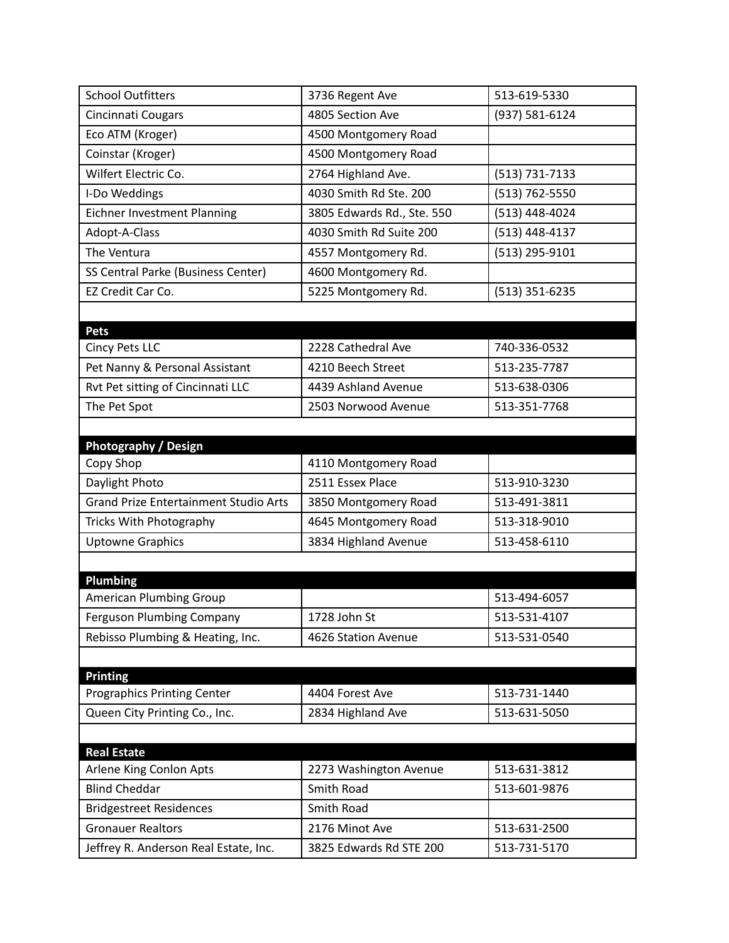| <b>School Outfitters</b>                        | 3736 Regent Ave            | 513-619-5330   |
|-------------------------------------------------|----------------------------|----------------|
| Cincinnati Cougars                              | 4805 Section Ave           | (937) 581-6124 |
| Eco ATM (Kroger)                                | 4500 Montgomery Road       |                |
| Coinstar (Kroger)                               | 4500 Montgomery Road       |                |
| Wilfert Electric Co.                            | 2764 Highland Ave.         | (513) 731-7133 |
| I-Do Weddings                                   | 4030 Smith Rd Ste. 200     | (513) 762-5550 |
| Eichner Investment Planning                     | 3805 Edwards Rd., Ste. 550 | (513) 448-4024 |
| Adopt-A-Class                                   | 4030 Smith Rd Suite 200    | (513) 448-4137 |
| The Ventura                                     | 4557 Montgomery Rd.        | (513) 295-9101 |
| SS Central Parke (Business Center)              | 4600 Montgomery Rd.        |                |
| EZ Credit Car Co.                               | 5225 Montgomery Rd.        | (513) 351-6235 |
|                                                 |                            |                |
| <b>Pets</b>                                     |                            |                |
| <b>Cincy Pets LLC</b>                           | 2228 Cathedral Ave         | 740-336-0532   |
| Pet Nanny & Personal Assistant                  | 4210 Beech Street          | 513-235-7787   |
| Rvt Pet sitting of Cincinnati LLC               | 4439 Ashland Avenue        | 513-638-0306   |
| The Pet Spot                                    | 2503 Norwood Avenue        | 513-351-7768   |
|                                                 |                            |                |
| <b>Photography / Design</b>                     |                            |                |
| Copy Shop                                       | 4110 Montgomery Road       |                |
| Daylight Photo                                  | 2511 Essex Place           | 513-910-3230   |
| <b>Grand Prize Entertainment Studio Arts</b>    | 3850 Montgomery Road       | 513-491-3811   |
| Tricks With Photography                         | 4645 Montgomery Road       | 513-318-9010   |
| <b>Uptowne Graphics</b>                         | 3834 Highland Avenue       | 513-458-6110   |
|                                                 |                            |                |
| <b>Plumbing</b>                                 |                            |                |
| <b>American Plumbing Group</b>                  |                            | 513-494-6057   |
| Ferguson Plumbing Company                       | 1728 John St               | 513-531-4107   |
| Rebisso Plumbing & Heating, Inc.                | 4626 Station Avenue        | 513-531-0540   |
|                                                 |                            |                |
| <b>Printing</b>                                 |                            |                |
| <b>Prographics Printing Center</b>              | 4404 Forest Ave            | 513-731-1440   |
| Queen City Printing Co., Inc.                   | 2834 Highland Ave          | 513-631-5050   |
|                                                 |                            |                |
| <b>Real Estate</b>                              |                            | 513-631-3812   |
| Arlene King Conlon Apts<br><b>Blind Cheddar</b> | 2273 Washington Avenue     |                |
|                                                 | Smith Road                 | 513-601-9876   |
| <b>Bridgestreet Residences</b>                  | Smith Road                 |                |
| <b>Gronauer Realtors</b>                        | 2176 Minot Ave             | 513-631-2500   |
| Jeffrey R. Anderson Real Estate, Inc.           | 3825 Edwards Rd STE 200    | 513-731-5170   |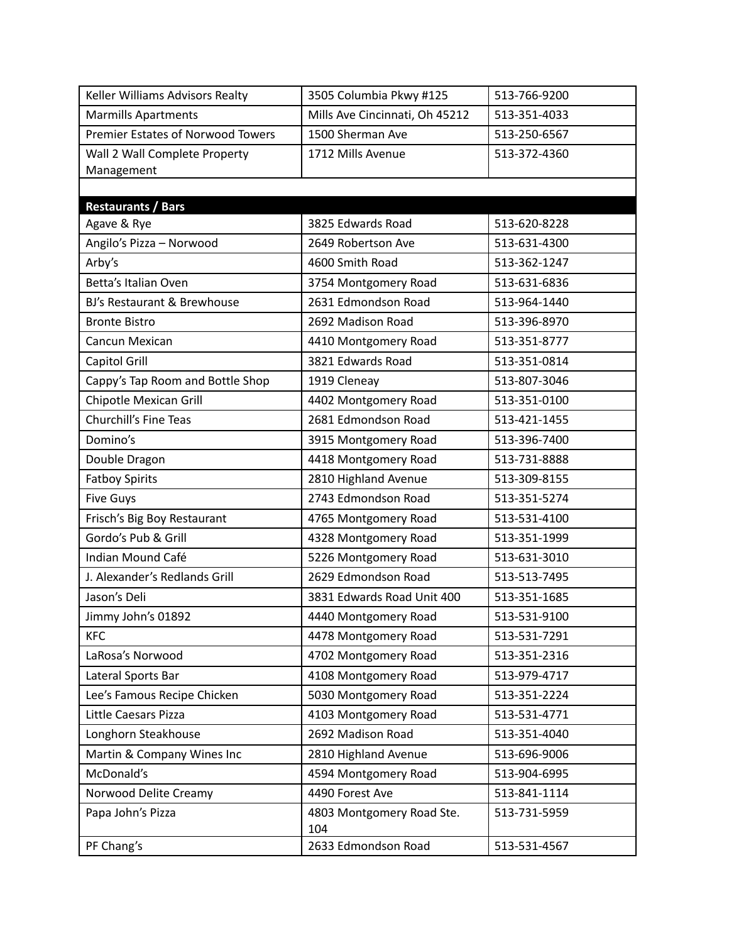| Keller Williams Advisors Realty          | 3505 Columbia Pkwy #125        | 513-766-9200 |
|------------------------------------------|--------------------------------|--------------|
| <b>Marmills Apartments</b>               | Mills Ave Cincinnati, Oh 45212 | 513-351-4033 |
| Premier Estates of Norwood Towers        | 1500 Sherman Ave               | 513-250-6567 |
| Wall 2 Wall Complete Property            | 1712 Mills Avenue              | 513-372-4360 |
| Management                               |                                |              |
|                                          |                                |              |
| <b>Restaurants / Bars</b><br>Agave & Rye | 3825 Edwards Road              | 513-620-8228 |
| Angilo's Pizza - Norwood                 | 2649 Robertson Ave             | 513-631-4300 |
| Arby's                                   | 4600 Smith Road                | 513-362-1247 |
| Betta's Italian Oven                     | 3754 Montgomery Road           | 513-631-6836 |
| BJ's Restaurant & Brewhouse              | 2631 Edmondson Road            | 513-964-1440 |
| <b>Bronte Bistro</b>                     | 2692 Madison Road              | 513-396-8970 |
| Cancun Mexican                           | 4410 Montgomery Road           | 513-351-8777 |
| Capitol Grill                            | 3821 Edwards Road              | 513-351-0814 |
| Cappy's Tap Room and Bottle Shop         | 1919 Cleneay                   | 513-807-3046 |
| Chipotle Mexican Grill                   | 4402 Montgomery Road           | 513-351-0100 |
| <b>Churchill's Fine Teas</b>             | 2681 Edmondson Road            | 513-421-1455 |
| Domino's                                 | 3915 Montgomery Road           | 513-396-7400 |
| Double Dragon                            | 4418 Montgomery Road           | 513-731-8888 |
| <b>Fatboy Spirits</b>                    | 2810 Highland Avenue           | 513-309-8155 |
| <b>Five Guys</b>                         | 2743 Edmondson Road            | 513-351-5274 |
| Frisch's Big Boy Restaurant              | 4765 Montgomery Road           | 513-531-4100 |
| Gordo's Pub & Grill                      | 4328 Montgomery Road           | 513-351-1999 |
| Indian Mound Café                        | 5226 Montgomery Road           | 513-631-3010 |
| J. Alexander's Redlands Grill            | 2629 Edmondson Road            | 513-513-7495 |
| Jason's Deli                             | 3831 Edwards Road Unit 400     | 513-351-1685 |
| Jimmy John's 01892                       | 4440 Montgomery Road           | 513-531-9100 |
| <b>KFC</b>                               | 4478 Montgomery Road           | 513-531-7291 |
| LaRosa's Norwood                         | 4702 Montgomery Road           | 513-351-2316 |
| Lateral Sports Bar                       | 4108 Montgomery Road           | 513-979-4717 |
| Lee's Famous Recipe Chicken              | 5030 Montgomery Road           | 513-351-2224 |
| Little Caesars Pizza                     | 4103 Montgomery Road           | 513-531-4771 |
| Longhorn Steakhouse                      | 2692 Madison Road              | 513-351-4040 |
| Martin & Company Wines Inc               | 2810 Highland Avenue           | 513-696-9006 |
| McDonald's                               | 4594 Montgomery Road           | 513-904-6995 |
| Norwood Delite Creamy                    | 4490 Forest Ave                | 513-841-1114 |
| Papa John's Pizza                        | 4803 Montgomery Road Ste.      | 513-731-5959 |
|                                          | 104                            |              |
| PF Chang's                               | 2633 Edmondson Road            | 513-531-4567 |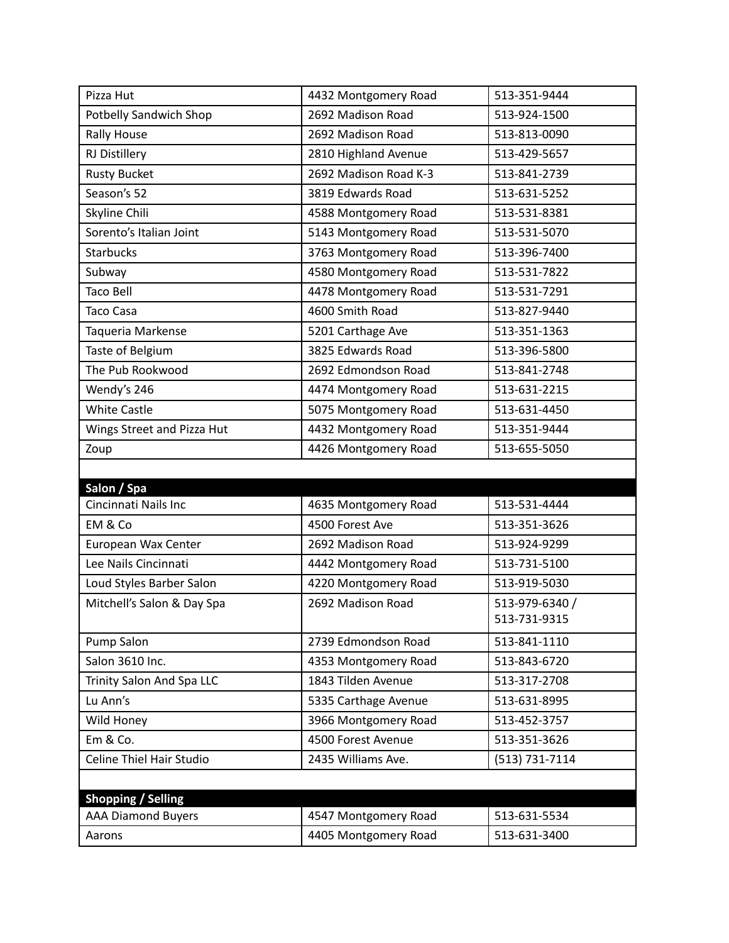| Pizza Hut                     | 4432 Montgomery Road  | 513-351-9444   |
|-------------------------------|-----------------------|----------------|
| <b>Potbelly Sandwich Shop</b> | 2692 Madison Road     | 513-924-1500   |
| <b>Rally House</b>            | 2692 Madison Road     | 513-813-0090   |
| RJ Distillery                 | 2810 Highland Avenue  | 513-429-5657   |
| <b>Rusty Bucket</b>           | 2692 Madison Road K-3 | 513-841-2739   |
| Season's 52                   | 3819 Edwards Road     | 513-631-5252   |
| Skyline Chili                 | 4588 Montgomery Road  | 513-531-8381   |
| Sorento's Italian Joint       | 5143 Montgomery Road  | 513-531-5070   |
| <b>Starbucks</b>              | 3763 Montgomery Road  | 513-396-7400   |
| Subway                        | 4580 Montgomery Road  | 513-531-7822   |
| <b>Taco Bell</b>              | 4478 Montgomery Road  | 513-531-7291   |
| <b>Taco Casa</b>              | 4600 Smith Road       | 513-827-9440   |
| Taqueria Markense             | 5201 Carthage Ave     | 513-351-1363   |
| Taste of Belgium              | 3825 Edwards Road     | 513-396-5800   |
| The Pub Rookwood              | 2692 Edmondson Road   | 513-841-2748   |
| Wendy's 246                   | 4474 Montgomery Road  | 513-631-2215   |
| <b>White Castle</b>           | 5075 Montgomery Road  | 513-631-4450   |
| Wings Street and Pizza Hut    | 4432 Montgomery Road  | 513-351-9444   |
| Zoup                          | 4426 Montgomery Road  | 513-655-5050   |
|                               |                       |                |
| Salon / Spa                   |                       |                |
| Cincinnati Nails Inc          | 4635 Montgomery Road  | 513-531-4444   |
| EM & Co                       | 4500 Forest Ave       | 513-351-3626   |
| European Wax Center           | 2692 Madison Road     | 513-924-9299   |
| Lee Nails Cincinnati          | 4442 Montgomery Road  | 513-731-5100   |
| Loud Styles Barber Salon      | 4220 Montgomery Road  | 513-919-5030   |
| Mitchell's Salon & Day Spa    | 2692 Madison Road     | 513-979-6340 / |
|                               |                       | 513-731-9315   |
| Pump Salon                    | 2739 Edmondson Road   | 513-841-1110   |
| Salon 3610 Inc.               | 4353 Montgomery Road  | 513-843-6720   |
| Trinity Salon And Spa LLC     | 1843 Tilden Avenue    | 513-317-2708   |
| Lu Ann's                      | 5335 Carthage Avenue  | 513-631-8995   |
| Wild Honey                    | 3966 Montgomery Road  | 513-452-3757   |
| Em & Co.                      | 4500 Forest Avenue    | 513-351-3626   |
| Celine Thiel Hair Studio      | 2435 Williams Ave.    | (513) 731-7114 |
|                               |                       |                |
| <b>Shopping / Selling</b>     |                       |                |
| <b>AAA Diamond Buyers</b>     | 4547 Montgomery Road  | 513-631-5534   |
| Aarons                        | 4405 Montgomery Road  | 513-631-3400   |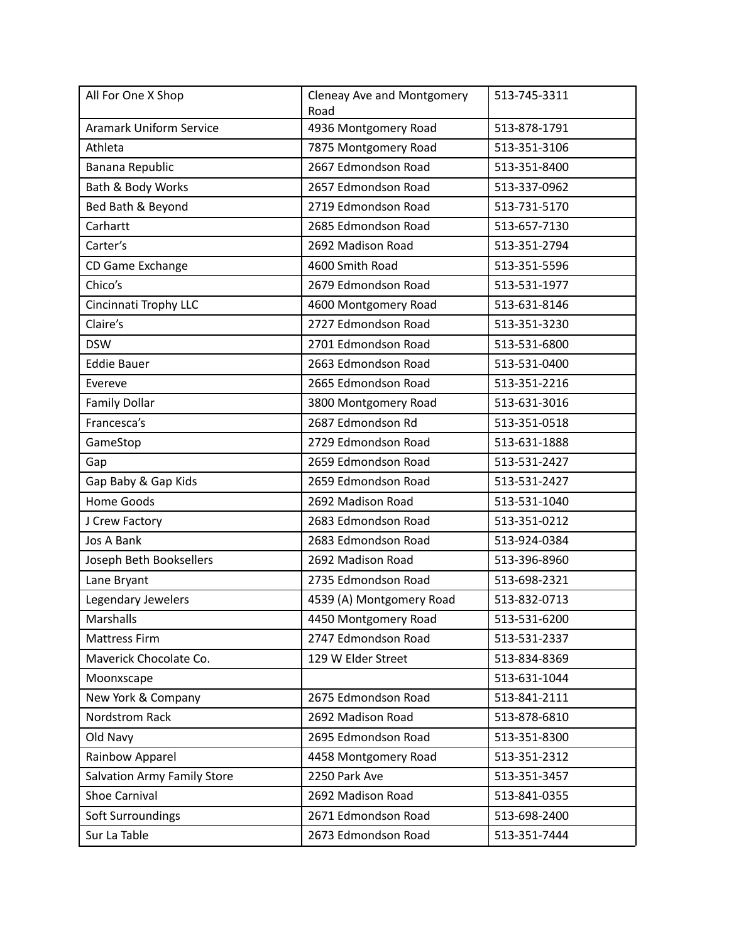| All For One X Shop                 | Cleneay Ave and Montgomery<br>Road | 513-745-3311 |
|------------------------------------|------------------------------------|--------------|
| <b>Aramark Uniform Service</b>     | 4936 Montgomery Road               | 513-878-1791 |
| Athleta                            | 7875 Montgomery Road               | 513-351-3106 |
| Banana Republic                    | 2667 Edmondson Road                | 513-351-8400 |
| Bath & Body Works                  | 2657 Edmondson Road                | 513-337-0962 |
| Bed Bath & Beyond                  | 2719 Edmondson Road                | 513-731-5170 |
| Carhartt                           | 2685 Edmondson Road                | 513-657-7130 |
| Carter's                           | 2692 Madison Road                  | 513-351-2794 |
| CD Game Exchange                   | 4600 Smith Road                    | 513-351-5596 |
| Chico's                            | 2679 Edmondson Road                | 513-531-1977 |
| Cincinnati Trophy LLC              | 4600 Montgomery Road               | 513-631-8146 |
| Claire's                           | 2727 Edmondson Road                | 513-351-3230 |
| <b>DSW</b>                         | 2701 Edmondson Road                | 513-531-6800 |
| <b>Eddie Bauer</b>                 | 2663 Edmondson Road                | 513-531-0400 |
| Evereve                            | 2665 Edmondson Road                | 513-351-2216 |
| <b>Family Dollar</b>               | 3800 Montgomery Road               | 513-631-3016 |
| Francesca's                        | 2687 Edmondson Rd                  | 513-351-0518 |
| GameStop                           | 2729 Edmondson Road                | 513-631-1888 |
| Gap                                | 2659 Edmondson Road                | 513-531-2427 |
| Gap Baby & Gap Kids                | 2659 Edmondson Road                | 513-531-2427 |
| <b>Home Goods</b>                  | 2692 Madison Road                  | 513-531-1040 |
| J Crew Factory                     | 2683 Edmondson Road                | 513-351-0212 |
| Jos A Bank                         | 2683 Edmondson Road                | 513-924-0384 |
| Joseph Beth Booksellers            | 2692 Madison Road                  | 513-396-8960 |
| Lane Bryant                        | 2735 Edmondson Road                | 513-698-2321 |
| Legendary Jewelers                 | 4539 (A) Montgomery Road           | 513-832-0713 |
| Marshalls                          | 4450 Montgomery Road               | 513-531-6200 |
| <b>Mattress Firm</b>               | 2747 Edmondson Road                | 513-531-2337 |
| Maverick Chocolate Co.             | 129 W Elder Street                 | 513-834-8369 |
| Moonxscape                         |                                    | 513-631-1044 |
| New York & Company                 | 2675 Edmondson Road                | 513-841-2111 |
| Nordstrom Rack                     | 2692 Madison Road                  | 513-878-6810 |
| Old Navy                           | 2695 Edmondson Road                | 513-351-8300 |
| Rainbow Apparel                    | 4458 Montgomery Road               | 513-351-2312 |
| <b>Salvation Army Family Store</b> | 2250 Park Ave                      | 513-351-3457 |
| Shoe Carnival                      | 2692 Madison Road                  | 513-841-0355 |
| Soft Surroundings                  | 2671 Edmondson Road                | 513-698-2400 |
| Sur La Table                       | 2673 Edmondson Road                | 513-351-7444 |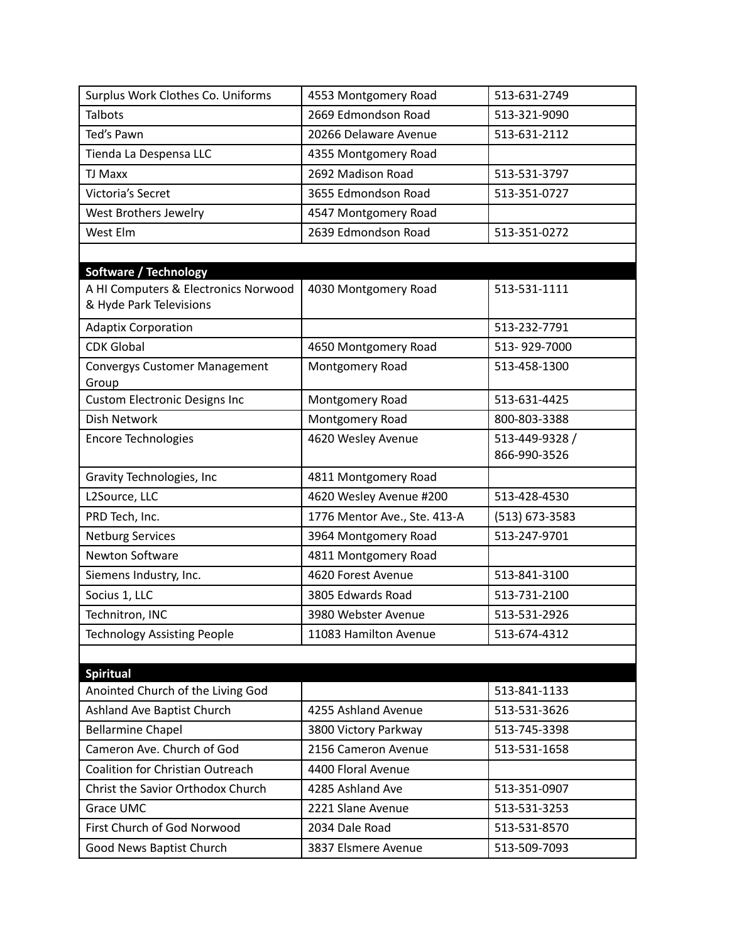| Surplus Work Clothes Co. Uniforms                               | 4553 Montgomery Road         | 513-631-2749                   |
|-----------------------------------------------------------------|------------------------------|--------------------------------|
| <b>Talbots</b>                                                  | 2669 Edmondson Road          | 513-321-9090                   |
| Ted's Pawn                                                      | 20266 Delaware Avenue        | 513-631-2112                   |
| Tienda La Despensa LLC                                          | 4355 Montgomery Road         |                                |
| <b>TJ Maxx</b>                                                  | 2692 Madison Road            | 513-531-3797                   |
| Victoria's Secret                                               | 3655 Edmondson Road          | 513-351-0727                   |
| West Brothers Jewelry                                           | 4547 Montgomery Road         |                                |
| West Elm                                                        | 2639 Edmondson Road          | 513-351-0272                   |
|                                                                 |                              |                                |
| <b>Software / Technology</b>                                    |                              |                                |
| A HI Computers & Electronics Norwood<br>& Hyde Park Televisions | 4030 Montgomery Road         | 513-531-1111                   |
| <b>Adaptix Corporation</b>                                      |                              | 513-232-7791                   |
| <b>CDK Global</b>                                               | 4650 Montgomery Road         | 513-929-7000                   |
| <b>Convergys Customer Management</b><br>Group                   | Montgomery Road              | 513-458-1300                   |
| <b>Custom Electronic Designs Inc</b>                            | Montgomery Road              | 513-631-4425                   |
| <b>Dish Network</b>                                             | Montgomery Road              | 800-803-3388                   |
| <b>Encore Technologies</b>                                      | 4620 Wesley Avenue           | 513-449-9328 /<br>866-990-3526 |
| Gravity Technologies, Inc                                       | 4811 Montgomery Road         |                                |
| L2Source, LLC                                                   | 4620 Wesley Avenue #200      | 513-428-4530                   |
| PRD Tech, Inc.                                                  | 1776 Mentor Ave., Ste. 413-A | $(513) 673 - 3583$             |
| <b>Netburg Services</b>                                         | 3964 Montgomery Road         | 513-247-9701                   |
| Newton Software                                                 | 4811 Montgomery Road         |                                |
| Siemens Industry, Inc.                                          | 4620 Forest Avenue           | 513-841-3100                   |
| Socius 1, LLC                                                   | 3805 Edwards Road            | 513-731-2100                   |
| Technitron, INC                                                 | 3980 Webster Avenue          | 513-531-2926                   |
| <b>Technology Assisting People</b>                              | 11083 Hamilton Avenue        | 513-674-4312                   |
|                                                                 |                              |                                |
| <b>Spiritual</b>                                                |                              |                                |
| Anointed Church of the Living God                               |                              | 513-841-1133                   |
| Ashland Ave Baptist Church                                      | 4255 Ashland Avenue          | 513-531-3626                   |
| <b>Bellarmine Chapel</b>                                        | 3800 Victory Parkway         | 513-745-3398                   |
| Cameron Ave. Church of God                                      | 2156 Cameron Avenue          | 513-531-1658                   |
| <b>Coalition for Christian Outreach</b>                         | 4400 Floral Avenue           |                                |
| Christ the Savior Orthodox Church                               | 4285 Ashland Ave             | 513-351-0907                   |
| Grace UMC                                                       | 2221 Slane Avenue            | 513-531-3253                   |
| First Church of God Norwood                                     | 2034 Dale Road               | 513-531-8570                   |
| Good News Baptist Church                                        | 3837 Elsmere Avenue          | 513-509-7093                   |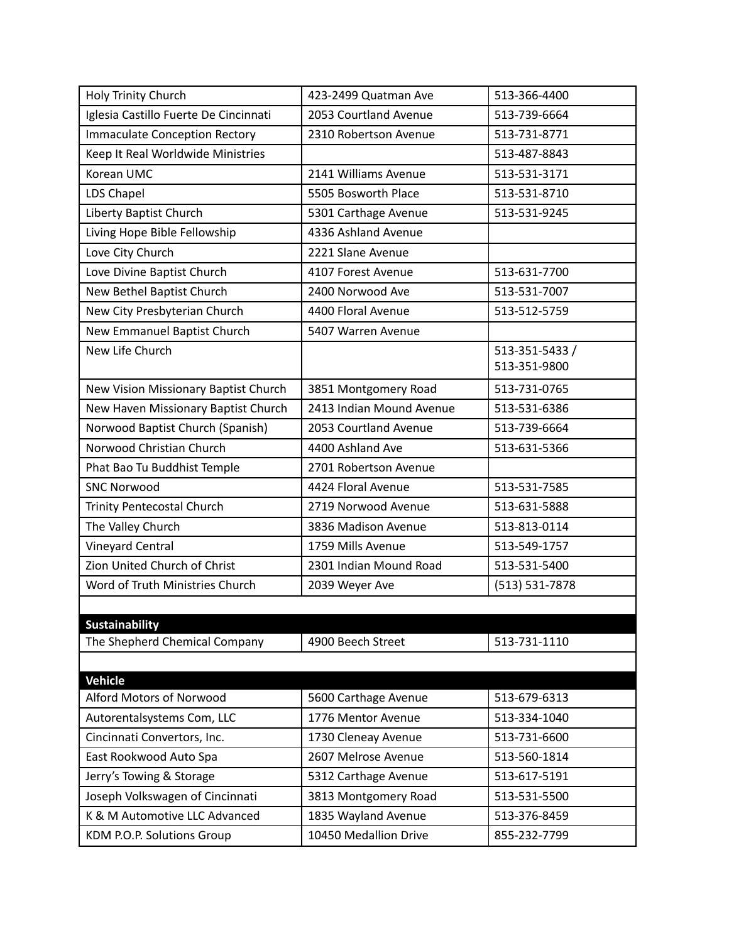| Holy Trinity Church                   | 423-2499 Quatman Ave     | 513-366-4400   |
|---------------------------------------|--------------------------|----------------|
| Iglesia Castillo Fuerte De Cincinnati | 2053 Courtland Avenue    | 513-739-6664   |
| <b>Immaculate Conception Rectory</b>  | 2310 Robertson Avenue    | 513-731-8771   |
| Keep It Real Worldwide Ministries     |                          | 513-487-8843   |
| Korean UMC                            | 2141 Williams Avenue     | 513-531-3171   |
| LDS Chapel                            | 5505 Bosworth Place      | 513-531-8710   |
| Liberty Baptist Church                | 5301 Carthage Avenue     | 513-531-9245   |
| Living Hope Bible Fellowship          | 4336 Ashland Avenue      |                |
| Love City Church                      | 2221 Slane Avenue        |                |
| Love Divine Baptist Church            | 4107 Forest Avenue       | 513-631-7700   |
| New Bethel Baptist Church             | 2400 Norwood Ave         | 513-531-7007   |
| New City Presbyterian Church          | 4400 Floral Avenue       | 513-512-5759   |
| New Emmanuel Baptist Church           | 5407 Warren Avenue       |                |
| New Life Church                       |                          | 513-351-5433 / |
|                                       |                          | 513-351-9800   |
| New Vision Missionary Baptist Church  | 3851 Montgomery Road     | 513-731-0765   |
| New Haven Missionary Baptist Church   | 2413 Indian Mound Avenue | 513-531-6386   |
| Norwood Baptist Church (Spanish)      | 2053 Courtland Avenue    | 513-739-6664   |
| Norwood Christian Church              | 4400 Ashland Ave         | 513-631-5366   |
| Phat Bao Tu Buddhist Temple           | 2701 Robertson Avenue    |                |
| <b>SNC Norwood</b>                    | 4424 Floral Avenue       | 513-531-7585   |
| Trinity Pentecostal Church            | 2719 Norwood Avenue      | 513-631-5888   |
| The Valley Church                     | 3836 Madison Avenue      | 513-813-0114   |
| <b>Vineyard Central</b>               | 1759 Mills Avenue        | 513-549-1757   |
| Zion United Church of Christ          | 2301 Indian Mound Road   | 513-531-5400   |
| Word of Truth Ministries Church       | 2039 Weyer Ave           | (513) 531-7878 |
|                                       |                          |                |
| <b>Sustainability</b>                 |                          |                |
| The Shepherd Chemical Company         | 4900 Beech Street        | 513-731-1110   |
|                                       |                          |                |
| <b>Vehicle</b>                        |                          |                |
| Alford Motors of Norwood              | 5600 Carthage Avenue     | 513-679-6313   |
| Autorentalsystems Com, LLC            | 1776 Mentor Avenue       | 513-334-1040   |
| Cincinnati Convertors, Inc.           | 1730 Cleneay Avenue      | 513-731-6600   |
| East Rookwood Auto Spa                | 2607 Melrose Avenue      | 513-560-1814   |
| Jerry's Towing & Storage              | 5312 Carthage Avenue     | 513-617-5191   |
| Joseph Volkswagen of Cincinnati       | 3813 Montgomery Road     | 513-531-5500   |
| K & M Automotive LLC Advanced         | 1835 Wayland Avenue      | 513-376-8459   |
| KDM P.O.P. Solutions Group            | 10450 Medallion Drive    | 855-232-7799   |